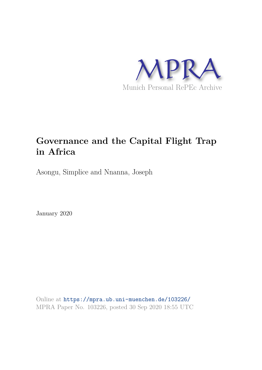

# **Governance and the Capital Flight Trap in Africa**

Asongu, Simplice and Nnanna, Joseph

January 2020

Online at https://mpra.ub.uni-muenchen.de/103226/ MPRA Paper No. 103226, posted 30 Sep 2020 18:55 UTC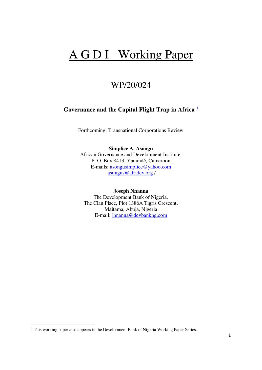# A G D I Working Paper

# WP/20/024

# **Governance and the Capital Flight Trap in Africa** <sup>1</sup>

Forthcoming: Transnational Corporations Review

### **Simplice A. Asongu**

African Governance and Development Institute, P. O. Box 8413, Yaoundé, Cameroon E-mails: [asongusimplice@yahoo.com](mailto:asongusimplice@yahoo.com) [asongus@afridev.org](mailto:asongus@afridev.org) /

#### **Joseph Nnanna**

The Development Bank of Nigeria, The Clan Place, Plot 1386A Tigris Crescent, Maitama, Abuja, Nigeria E-mail: [jnnanna@devbankng.com](mailto:jnnanna@devbankng.com) 

 $\overline{a}$ 

<sup>&</sup>lt;sup>1</sup> This working paper also appears in the Development Bank of Nigeria Working Paper Series.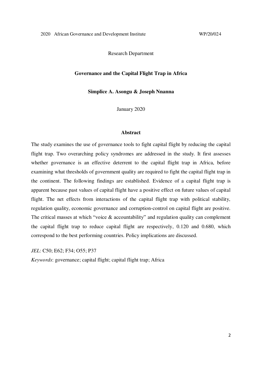Research Department

#### **Governance and the Capital Flight Trap in Africa**

**Simplice A. Asongu & Joseph Nnanna** 

January 2020

#### **Abstract**

The study examines the use of governance tools to fight capital flight by reducing the capital flight trap. Two overarching policy syndromes are addressed in the study. It first assesses whether governance is an effective deterrent to the capital flight trap in Africa, before examining what thresholds of government quality are required to fight the capital flight trap in the continent. The following findings are established. Evidence of a capital flight trap is apparent because past values of capital flight have a positive effect on future values of capital flight. The net effects from interactions of the capital flight trap with political stability, regulation quality, economic governance and corruption-control on capital flight are positive. The critical masses at which "voice & accountability" and regulation quality can complement the capital flight trap to reduce capital flight are respectively, 0.120 and 0.680, which correspond to the best performing countries. Policy implications are discussed.

*JEL*: C50; E62; F34; O55; P37

*Keywords*: governance; capital flight; capital flight trap; Africa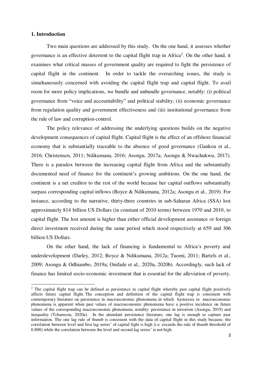#### **1. Introduction**

 $\overline{a}$ 

 Two main questions are addressed by this study. On the one hand, it assesses whether governance is an effective deterrent to the capital flight trap in Africa<sup>2</sup>. On the other hand, it examines what critical masses of government quality are required to fight the persistence of capital flight in the continent. In order to tackle the overarching issues, the study is simultaneously concerned with avoiding the capital flight trap and capital flight. To avail room for more policy implications, we bundle and unbundle governance, notably: (i) political governance from "voice and accountability" and political stability; (ii) economic governance from regulation quality and government effectiveness and (iii) institutional governance from the rule of law and corruption-control.

 The policy relevance of addressing the underlying questions builds on the negative development consequences of capital flight. Capital flight is the effect of an offshore financial economy that is substantially traceable to the absence of good governance (Gankou et al., 2016; Christensen, 2011; Ndikumana, 2016; Asongu, 2017a; Asongu & Nwachukwu, 2017). There is a paradox between the increasing capital flight from Africa and the substantially documented need of finance for the continent's growing ambitions. On the one hand, the continent is a net creditor to the rest of the world because her capital outflows substantially surpass corresponding capital inflows (Boyce & Ndikumana, 2012a; Asongu et al., 2019). For instance, according to the narrative, thirty-three countries in sub-Saharan Africa (SSA) lost approximately 814 billion US Dollars (in constant of 2010 terms) between 1970 and 2010, to capital flight. The lost amount is higher than either official development assistance or foreign direct investment received during the same period which stood respectively at 659 and 306 billion US Dollars.

On the other hand, the lack of financing is fundamental to Africa's poverty and underdevelopment (Darley, 2012; Boyce & Ndikumana, 2012a; Tuomi, 2011; Bartels et al., 2009; Asongu & Odhiambo, 2019a; Onifade et al., 2020a, 2020b). Accordingly, such lack of finance has limited socio-economic investment that is essential for the alleviation of poverty.

<sup>&</sup>lt;sup>2</sup> The capital flight trap can be defined as persistence in capital flight whereby past capital flight positively affects future capital flight. The conception and definition of the capital flight trap is consistent with contemporary literature on persistence in macroeconomic phenomena in which hysteresis in macroeconomic phenomena is apparent when past values of macroeconomic phenomena have a positive incidence on future values of the corresponding macroeconomic phenomena, notably: persistence in terrorism (Asongu, 2019) and inequality (Tchamyou, 2020a). In the attendant persistence literature, one lag is enough to capture past information. The one lag rule of thumb is consistent with the data of capital flight in this study because, the correlation between level and first lag series' of capital fight is high (i.e. exceeds the rule of thumb threshold of 0.800) while the correlation between the level and second lag series' is not high.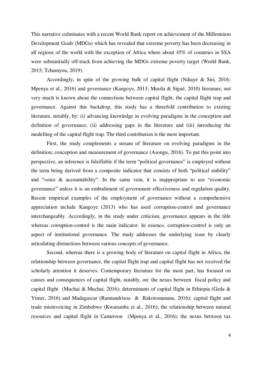This narrative culminates with a recent World Bank report on achievement of the Millennium Development Goals (MDGs) which has revealed that extreme poverty has been decreasing in all regions of the world with the exception of Africa where about 45% of countries in SSA were substantially off-track from achieving the MDGs extreme poverty target (World Bank, 2015; Tchamyou, 2019).

Accordingly, in spite of the growing bulk of capital flight (Ndiaye & Siri, 2016; Mpenya et al., 2016) and governance (Kangoye, 2013; Musila & Sigué, 2010) literature, not very much is known about the connections between capital flight, the capital flight trap and governance. Against this backdrop, this study has a threefold contribution to existing literature, notably, by: (i) advancing knowledge in evolving paradigms in the conception and definition of governance; (ii) addressing gaps in the literature and (iii) introducing the modelling of the capital flight trap. The third contribution is the most important.

First, the study complements a stream of literature on evolving paradigms in the definition; conception and measurement of governance (Asongu, 2016). To put this point into perspective, an inference is falsifiable if the term "political governance" is employed without the term being derived from a composite indicator that consists of both "political stability" and "voice & accountability". In the same vein, it is inappropriate to use "economic governance" unless it is an embodiment of government effectiveness and regulation quality. Recent empirical examples of the employment of governance without a comprehensive appreciation include Kangoye (2013) who has used corruption-control and governance interchangeably. Accordingly, in the study under criticism, governance appears in the title whereas corruption-control is the main indicator. In essence, corruption-control is only an aspect of institutional governance. The study addresses the underlying issue by clearly articulating distinctions between various concepts of governance.

Second, whereas there is a growing body of literature on capital flight in Africa, the relationship between governance, the capital flight trap and capital flight has not received the scholarly attention it deserves. Contemporary literature for the most part, has focused on causes and consequences of capital flight, notably, on: the nexus between fiscal policy and capital flight (Muchai & Muchai, 2016); determinants of capital flight in Ethiopia (Geda & Yimer, 2016) and Madagascar (Ramiandrisoa & Rakotomanana, 2016); capital flight and trade misinvoicing in Zimbabwe (Kwaramba et al., 2016); the relationship between natural resources and capital flight in Cameroon (Mpenya et al., 2016); the nexus between tax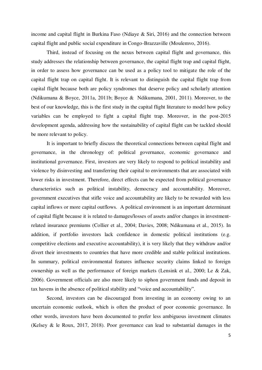income and capital flight in Burkina Faso (Ndiaye & Siri, 2016) and the connection between capital flight and public social expenditure in Congo-Brazzaville (Moulemvo, 2016).

Third, instead of focusing on the nexus between capital flight and governance, this study addresses the relationship between governance, the capital flight trap and capital flight, in order to assess how governance can be used as a policy tool to mitigate the role of the capital flight trap on capital flight. It is relevant to distinguish the capital flight trap from capital flight because both are policy syndromes that deserve policy and scholarly attention (Ndikumana & Boyce, 2011a, 2011b; Boyce & Ndikumana, 2001, 2011). Moreover, to the best of our knowledge, this is the first study in the capital flight literature to model how policy variables can be employed to fight a capital flight trap. Moreover, in the post-2015 development agenda, addressing how the sustainability of capital flight can be tackled should be more relevant to policy.

It is important to briefly discuss the theoretical connections between capital flight and governance, in the chronology of: political governance, economic governance and institutional governance. First, investors are very likely to respond to political instability and violence by disinvesting and transferring their capital to environments that are associated with lower risks in investment. Therefore, direct effects can be expected from political governance characteristics such as political instability, democracy and accountability. Moreover, government executives that stifle voice and accountability are likely to be rewarded with less capital inflows or more capital outflows. A political environment is an important determinant of capital flight because it is related to damages/losses of assets and/or changes in investmentrelated insurance premiums (Collier et al., 2004; Davies, 2008; Ndikumana et al., 2015). In addition, if portfolio investors lack confidence in domestic political institutions (e.g. competitive elections and executive accountability), it is very likely that they withdraw and/or divert their investments to countries that have more credible and stable political institutions. In summary, political environmental features influence security claims linked to foreign ownership as well as the performance of foreign markets (Lensink et al., 2000; Le & Zak, 2006). Government officials are also more likely to siphon government funds and deposit in tax havens in the absence of political stability and "voice and accountability".

Second, investors can be discouraged from investing in an economy owing to an uncertain economic outlook, which is often the product of poor economic governance. In other words, investors have been documented to prefer less ambiguous investment climates (Kelsey & le Roux, 2017, 2018). Poor governance can lead to substantial damages in the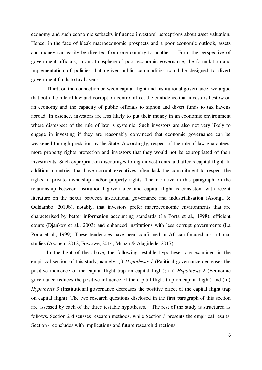economy and such economic setbacks influence investors' perceptions about asset valuation. Hence, in the face of bleak macroeconomic prospects and a poor economic outlook, assets and money can easily be diverted from one country to another. From the perspective of government officials, in an atmosphere of poor economic governance, the formulation and implementation of policies that deliver public commodities could be designed to divert government funds to tax havens.

Third, on the connection between capital flight and institutional governance, we argue that both the rule of law and corruption-control affect the confidence that investors bestow on an economy and the capacity of public officials to siphon and divert funds to tax havens abroad. In essence, investors are less likely to put their money in an economic environment where disrespect of the rule of law is systemic. Such investors are also not very likely to engage in investing if they are reasonably convinced that economic governance can be weakened through predation by the State. Accordingly, respect of the rule of law guarantees: more property rights protection and investors that they would not be expropriated of their investments. Such expropriation discourages foreign investments and affects capital flight. In addition, countries that have corrupt executives often lack the commitment to respect the rights to private ownership and/or property rights. The narrative in this paragraph on the relationship between institutional governance and capital flight is consistent with recent literature on the nexus between institutional governance and industrialisation (Asongu & Odhiambo, 2019b), notably, that investors prefer macroeconomic environments that are characterised by better information accounting standards (La Porta et al., 1998), efficient courts (Djankov et al., 2003) and enhanced institutions with less corrupt governments (La Porta et al., 1999). These tendencies have been confirmed in African-focused institutional studies (Asongu, 2012; Fowowe, 2014; Muazu & Alagidede, 2017).

In the light of the above, the following testable hypotheses are examined in the empirical section of this study, namely: (i) *Hypothesis 1* (Political governance decreases the positive incidence of the capital flight trap on capital flight); (ii) *Hypothesis 2* (Economic governance reduces the positive influence of the capital flight trap on capital flight) and (iii) *Hypothesis 3* (Institutional governance decreases the positive effect of the capital flight trap on capital flight). The two research questions disclosed in the first paragraph of this section are assessed by each of the three testable hypotheses. The rest of the study is structured as follows. Section 2 discusses research methods, while Section 3 presents the empirical results. Section 4 concludes with implications and future research directions.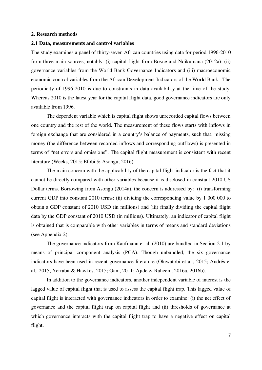#### **2. Research methods**

#### **2.1 Data, measurements and control variables**

The study examines a panel of thirty-seven African countries using data for period 1996-2010 from three main sources, notably: (i) capital flight from Boyce and Ndikumana (2012a); (ii) governance variables from the World Bank Governance Indicators and (iii) macroeconomic economic control variables from the African Development Indicators of the World Bank. The periodicity of 1996-2010 is due to constraints in data availability at the time of the study. Whereas 2010 is the latest year for the capital flight data, good governance indicators are only available from 1996.

 The dependent variable which is capital flight shows unrecorded capital flows between one country and the rest of the world. The measurement of these flows starts with inflows in foreign exchange that are considered in a country's balance of payments, such that, missing money (the difference between recorded inflows and corresponding outflows) is presented in terms of "net errors and omissions". The capital flight measurement is consistent with recent literature (Weeks, 2015; Efobi & Asongu, 2016).

 The main concern with the applicability of the capital flight indicator is the fact that it cannot be directly compared with other variables because it is disclosed in constant 2010 US Dollar terms. Borrowing from Asongu (2014a), the concern is addressed by: (i) transforming current GDP into constant 2010 terms; (ii) dividing the corresponding value by 1 000 000 to obtain a GDP constant of 2010 USD (in millions) and (iii) finally dividing the capital flight data by the GDP constant of 2010 USD (in millions). Ultimately, an indicator of capital flight is obtained that is comparable with other variables in terms of means and standard deviations (see Appendix 2).

 The governance indicators from Kaufmann et al. (2010) are bundled in Section 2.1 by means of principal component analysis (PCA). Though unbundled, the six governance indicators have been used in recent governance literature (Oluwatobi et al., 2015; Andrés et al., 2015; Yerrabit & Hawkes, 2015; Gani, 2011; Ajide & Raheem, 2016a, 2016b).

 In addition to the governance indicators, another independent variable of interest is the lagged value of capital flight that is used to assess the capital flight trap. This lagged value of capital flight is interacted with governance indicators in order to examine: (i) the net effect of governance and the capital flight trap on capital flight and (ii) thresholds of governance at which governance interacts with the capital flight trap to have a negative effect on capital flight.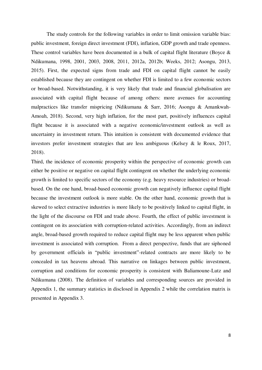The study controls for the following variables in order to limit omission variable bias: public investment, foreign direct investment (FDI), inflation, GDP growth and trade openness. These control variables have been documented in a bulk of capital flight literature (Boyce & Ndikumana, 1998, 2001, 2003, 2008, 2011, 2012a, 2012b; Weeks, 2012; Asongu, 2013, 2015). First, the expected signs from trade and FDI on capital flight cannot be easily established because they are contingent on whether FDI is limited to a few economic sectors or broad-based. Notwithstanding, it is very likely that trade and financial globalisation are associated with capital flight because of among others: more avenues for accounting malpractices like transfer mispricing (Ndikumana & Sarr, 2016; Asongu & Amankwah-Amoah, 2018). Second, very high inflation, for the most part, positively influences capital flight because it is associated with a negative economic/investment outlook as well as uncertainty in investment return. This intuition is consistent with documented evidence that investors prefer investment strategies that are less ambiguous (Kelsey & le Roux, 2017, 2018).

Third, the incidence of economic prosperity within the perspective of economic growth can either be positive or negative on capital flight contingent on whether the underlying economic growth is limited to specific sectors of the economy (e.g. heavy resource industries) or broadbased. On the one hand, broad-based economic growth can negatively influence capital flight because the investment outlook is more stable. On the other hand, economic growth that is skewed to select extractive industries is more likely to be positively linked to capital flight, in the light of the discourse on FDI and trade above. Fourth, the effect of public investment is contingent on its association with corruption-related activities. Accordingly, from an indirect angle, broad-based growth required to reduce capital flight may be less apparent when public investment is associated with corruption. From a direct perspective, funds that are siphoned by government officials in "public investment"-related contracts are more likely to be concealed in tax heavens abroad. This narrative on linkages between public investment, corruption and conditions for economic prosperity is consistent with Baliamoune-Lutz and Ndikumana (2008). The definition of variables and corresponding sources are provided in Appendix 1, the summary statistics in disclosed in Appendix 2 while the correlation matrix is presented in Appendix 3.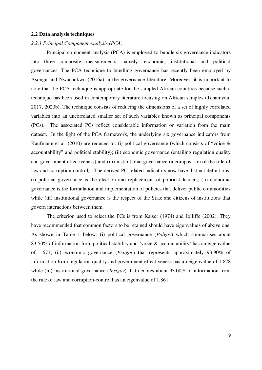#### **2.2 Data analysis techniques**

#### *2.2.1 Principal Component Analysis (PCA)*

 Principal component analysis (PCA) is employed to bundle six governance indicators into three composite measurements, namely: economic, institutional and political governances. The PCA technique to bundling governance has recently been employed by Asongu and Nwachukwu (2016a) in the governance literature. Moreover, it is important to note that the PCA technique is appropriate for the sampled African countries because such a technique has been used in contemporary literature focusing on African samples (Tchamyou, 2017, 2020b). The technique consists of reducing the dimensions of a set of highly correlated variables into an uncorrelated smaller set of such variables known as principal components (PCs). The associated PCs reflect considerable information or variation from the main dataset. In the light of the PCA framework, the underlying six governance indicators from Kaufmann et al. (2010) are reduced to: (i) political governance (which consists of "voice  $\&$ accountability" and political stability); (ii) economic governance (entailing regulation quality and government effectiveness) and (iii) institutional governance (a composition of the rule of law and corruption-control). The derived PC-related indicators now have distinct definitions: (i) political governance is the election and replacement of political leaders; (ii) economic governance is the formulation and implementation of policies that deliver public commodities while (iii) institutional governance is the respect of the State and citizens of institutions that govern interactions between them.

 The criterion used to select the PCs is from Kaiser (1974) and Jolliffe (2002). They have recommended that common factors to be retained should have eigenvalues of above one. As shown in Table 1 below: (i) political governance (*Polgov*) which summarises about 83.50% of information from political stability and 'voice & accountability' has an eigenvalue of 1.671; (ii) economic governance (*Ecogov*) that represents approximately 93.90% of information from regulation quality and government effectiveness has an eigenvalue of 1.878 while (iii) institutional governance (*Instgov*) that denotes about 93.00% of information from the rule of law and corruption-control has an eigenvalue of 1.861.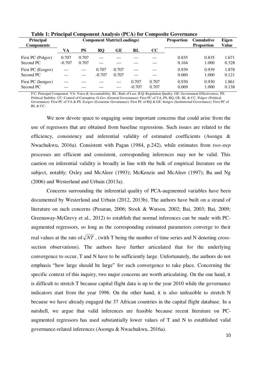| <b>Principal</b><br><b>Components</b> |                   | <b>Component Matrix(Loadings)</b> |                   |                |                   | <b>Proportion</b> | <b>Cumulative</b><br><b>Proportion</b> | <b>Eigen</b><br><b>Value</b> |                |
|---------------------------------------|-------------------|-----------------------------------|-------------------|----------------|-------------------|-------------------|----------------------------------------|------------------------------|----------------|
|                                       | VA                | <b>PS</b>                         | <b>RO</b>         | GE             | RL                | cc                |                                        |                              |                |
| First PC (Polgov)<br>Second PC        | 0.707<br>$-0.707$ | 0.707<br>0.707                    | ---               |                |                   |                   | 0.835<br>0.164                         | 0.835<br>1.000               | 1.671<br>0.328 |
| First PC (Ecogov)<br>Second PC        |                   | $- - -$<br>---                    | 0.707<br>$-0.707$ | 0.707<br>0.707 | ---               |                   | 0.939<br>0.060                         | 0.939<br>1.000               | 1.878<br>0.121 |
| First PC (Instgov)<br>Second PC       | ---               |                                   |                   | $---$<br>---   | 0.707<br>$-0.707$ | 0.707<br>0.707    | 0.930<br>0.069                         | 0.930<br>1.000               | 1.861<br>0.138 |

**Table 1: Principal Component Analysis (PCA) for Composite Governance** 

P.C: Principal Component. VA: Voice & Accountability. RL: Rule of Law. R.Q: Regulation Quality. GE: Government Effectiveness. PS: Political Stability. CC: Control of Corruption. G.Gov (General Governance): First PC of VA, PS, RQ, GE, RL & CC. Polgov (Political Governance): First PC of VA & PS. Ecogov (Economic Governance): First PC of RQ & GE. Instgov (Institutional Governance): First PC of RL & CC.

 We now devote space to engaging some important concerns that could arise from the use of regressors that are obtained from baseline regressions. Such issues are related to the efficiency, consistency and inferential validity of estimated coefficients (Asongu & Nwachukwu, 2016a). Consistent with Pagan (1984, p.242), while estimates from *two-step* processes are efficient and consistent, corresponding inferences may not be valid. This caution on inferential validity is broadly in line with the bulk of empirical literature on the subject, notably: Oxley and McAleer (1993); McKenzie and McAleer (1997); Ba and Ng (2006) and Westerlund and Urbain (2013a).

 Concerns surrounding the inferential quality of PCA-augmented variables have been documented by Westerlund and Urbain (2012, 2013b). The authors have built on a strand of literature on such concerns (Pesaran, 2006; Stock & Watson, 2002; Bai, 2003; Bai, 2009; Greenaway-McGrevy et al., 2012) to establish that normal inferences can be made with PCaugmented regressors, so long as the corresponding estimated parameters converge to their real values at the rate of  $\sqrt{NT}$ , (with T being the number of time series and N denoting crosssection observations). The authors have further articulated that for the underlying convergence to occur, T and N have to be sufficiently large. Unfortunately, the authors do not emphasis "how large should be large" for such convergence to take place. Concerning the specific context of this inquiry, two major concerns are worth articulating. On the one hand, it is difficult to stretch T because capital flight data is up to the year 2010 while the governance indicators start from the year 1996. On the other hand, it is also unfeasible to stretch N because we have already engaged the 37 African countries in the capital flight database. In a nutshell, we argue that valid inferences are feasible because recent literature on PCaugmented regressors has used substantially lower values of T and N to established valid governance-related inferences (Asongu & Nwachukwu, 2016a).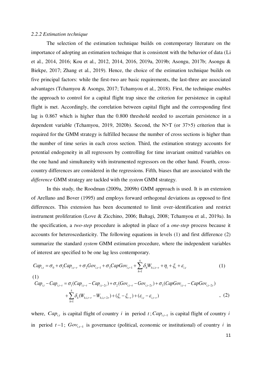#### *2.2.2 Estimation technique*

 The selection of the estimation technique builds on contemporary literature on the importance of adopting an estimation technique that is consistent with the behavior of data (Li et al., 2014, 2016; Kou et al., 2012, 2014, 2016, 2019a, 2019b; Asongu, 2017b; Asongu & Biekpe, 2017; Zhang et al., 2019). Hence, the choice of the estimation technique builds on five principal factors: while the first-two are basic requirements, the last-three are associated advantages (Tchamyou & Asongu, 2017; Tchamyou et al., 2018). First, the technique enables the approach to control for a capital flight trap since the criterion for persistence in capital flight is met. Accordingly, the correlation between capital flight and the corresponding first lag is 0.867 which is higher than the 0.800 threshold needed to ascertain persistence in a dependent variable (Tchamyou, 2019, 2020b). Second, the N>T (or 37>5) criterion that is required for the GMM strategy is fulfilled because the number of cross sections is higher than the number of time series in each cross section. Third, the estimation strategy accounts for potential endogeneity in all regressors by controlling for time invariant omitted variables on the one hand and simultaneity with instrumented regressors on the other hand. Fourth, crosscountry differences are considered in the regressions. Fifth, biases that are associated with the *difference* GMM strategy are tackled with the *system* GMM strategy.

 In this study, the Roodman (2009a, 2009b) GMM approach is used. It is an extension of Arellano and Bover (1995) and employs forward orthogonal deviations as opposed to first differences. This extension has been documented to limit over-identification and restrict instrument proliferation (Love & Zicchino, 2006; Baltagi, 2008; Tchamyou et al., 2019a). In the specification, a *two-step* procedure is adopted in place of a *one-step* process because it accounts for heteroscedasticity. The following equations in levels (1) and first difference (2) summarize the standard *system* GMM estimation procedure, where the independent variables of interest are specified to be one lag less contemporary.

$$
Cap_{i,t} = \sigma_0 + \sigma_1 Cap_{i,t-\tau} + \sigma_2 Gov_{i,t-1} + \sigma_3 Cap Gov_{i,t-1} + \sum_{h=1}^{5} \delta_h W_{h,i,t-\tau} + \eta_i + \xi_t + \varepsilon_{i,t}
$$
\n(1)

$$
Cap_{i,t} - Cap_{i,t-\tau} = \sigma_1(Cap_{i,t-\tau} - Cap_{i,t-2\tau}) + \sigma_2(Gov_{i,t-\tau} - Gov_{i,t-2\tau}) + \sigma_3(CapGov_{i,t-\tau} - CapGov_{i,t-2\tau}) + \sum_{h=1}^5 \delta_h(W_{h,i,t-\tau} - W_{h,i,t-2\tau}) + (\xi_t - \xi_{t-\tau}) + (\varepsilon_{i,t} - \varepsilon_{i,t-\tau})
$$
\n(2)

where,  $Cap_{i,t}$  is capital flight of country *i* in period  $t$ ;  $Cap_{i,t-1}$  is capital flight of country *i* in period  $t-1$ ;  $Gov_{i,t-1}$  is governance (political, economic or institutional) of country *i* in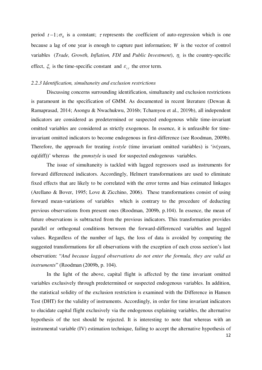period  $t-1$ ;  $\sigma_0$  is a constant;  $\tau$  represents the coefficient of auto-regression which is one because a lag of one year is enough to capture past information; *W* is the vector of control variables (*Trade, Growth, Inflation, FDI* and *Public Investment*),  $\eta_i$  is the country-specific effect,  $\xi_t$  is the time-specific constant and  $\varepsilon_{i,t}$  the error term.

#### *2.2.3 Identification, simultaneity and exclusion restrictions*

 Discussing concerns surrounding identification, simultaneity and exclusion restrictions is paramount in the specification of GMM. As documented in recent literature (Dewan & Ramaprasad, 2014; Asongu & Nwachukwu, 2016b; Tchamyou et al., 2019b), all independent indicators are considered as predetermined or suspected endogenous while time-invariant omitted variables are considered as strictly exogenous. In essence, it is unfeasible for timeinvariant omitted indicators to become endogenous in first-difference (see Roodman, 2009b). Therefore, the approach for treating *ivstyle* (time invariant omitted variables) is 'iv(years, eq(diff))' whereas the *gmmstyle* is used for suspected endogenous variables.

 The issue of simultaneity is tackled with lagged regressors used as instruments for forward differenced indicators. Accordingly, Helmert transformations are used to eliminate fixed effects that are likely to be correlated with the error terms and bias estimated linkages (Arellano & Bover, 1995; Love & Zicchino, 2006). These transformations consist of using forward mean-variations of variables which is contrary to the procedure of deducting previous observations from present ones (Roodman, 2009b, p.104). In essence, the mean of future observations is subtracted from the previous indicators. This transformation provides parallel or orthogonal conditions between the forward-differenced variables and lagged values. Regardless of the number of lags, the loss of data is avoided by computing the suggested transformations for all observations with the exception of each cross section's last observation: "*And because lagged observations do not enter the formula, they are valid as instruments*" (Roodman (2009b, p. 104).

 In the light of the above, capital flight is affected by the time invariant omitted variables exclusively through predetermined or suspected endogenous variables. In addition, the statistical solidity of the exclusion restriction is examined with the Difference in Hansen Test (DHT) for the validity of instruments. Accordingly, in order for time invariant indicators to elucidate capital flight exclusively via the endogenous explaining variables, the alternative hypothesis of the test should be rejected. It is interesting to note that whereas with an instrumental variable (IV) estimation technique, failing to accept the alternative hypothesis of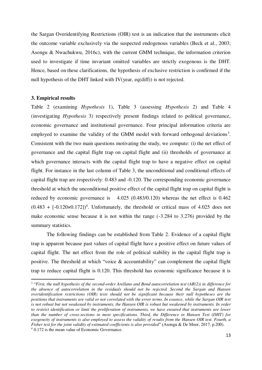the Sargan Overidentifying Restrictions (OIR) test is an indication that the instruments elicit the outcome variable exclusively via the suspected endogenous variables (Beck et al., 2003; Asongu & Nwachukwu, 2016c), with the current GMM technique, the information criterion used to investigate if time invariant omitted variables are strictly exogenous is the DHT. Hence, based on these clarifications, the hypothesis of exclusive restriction is confirmed if the null hypothesis of the DHT linked with IV(year, eq(diff)) is not rejected.

#### **3. Empirical results**

 $\overline{a}$ 

Table 2 (examining *Hypothesis* 1), Table 3 (assessing *Hypothesis* 2) and Table 4 (investigating *Hypothesis* 3) respectively present findings related to political governance, economic governance and institutional governance. Four principal information criteria are employed to examine the validity of the GMM model with forward orthogonal deviations<sup>3</sup>. Consistent with the two main questions motivating the study, we compute: (i) the net effect of governance and the capital flight trap on capital flight and (ii) thresholds of governance at which governance interacts with the capital flight trap to have a negative effect on capital flight. For instance in the last column of Table 3, the unconditional and conditional effects of capital flight trap are respectively: 0.483 and -0.120. The corresponding economic governance threshold at which the unconditional positive effect of the capital flight trap on capital flight is reduced by economic governance is 4.025 (0.483/0.120) whereas the net effect is 0.462  $(0.483 + [-0.120 \times 0.172])^{4}$ . Unfortunately, the threshold or critical mass of 4.025 does not make economic sense because it is not within the range (-3.284 to 3.276) provided by the summary statistics.

 The following findings can be established from Table 2. Evidence of a capital flight trap is apparent because past values of capital flight have a positive effect on future values of capital flight. The net effect from the role of political stability in the capital flight trap is positive. The threshold at which "voice & accountability" can complement the capital flight trap to reduce capital flight is 0.120. This threshold has economic significance because it is

<sup>3</sup> "*First, the null hypothesis of the second-order Arellano and Bond autocorrelation test (AR(2)) in difference for the absence of autocorrelation in the residuals should not be rejected. Second the Sargan and Hansen overidentification restrictions (OIR) tests should not be significant because their null hypotheses are the positions that instruments are valid or not correlated with the error terms. In essence, while the Sargan OIR test is not robust but not weakened by instruments, the Hansen OIR is robust but weakened by instruments. In order to restrict identification or limit the proliferation of instruments, we have ensured that instruments are lower than the number of cross-sections in most specifications. Third, the Difference in Hansen Test (DHT) for exogeneity of instruments is also employed to assess the validity of results from the Hansen OIR test. Fourth, a Fisher test for the joint validity of estimated coefficients is also provided*" (Asongu & De Moor, 2017, p.200). 4 0.172 is the mean value of Economic Governance.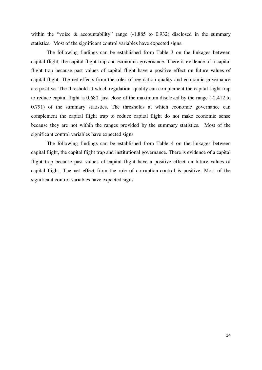within the "voice  $\&$  accountability" range (-1.885 to 0.932) disclosed in the summary statistics. Most of the significant control variables have expected signs.

The following findings can be established from Table 3 on the linkages between capital flight, the capital flight trap and economic governance. There is evidence of a capital flight trap because past values of capital flight have a positive effect on future values of capital flight. The net effects from the roles of regulation quality and economic governance are positive. The threshold at which regulation quality can complement the capital flight trap to reduce capital flight is 0.680, just close of the maximum disclosed by the range (-2.412 to 0.791) of the summary statistics. The thresholds at which economic governance can complement the capital flight trap to reduce capital flight do not make economic sense because they are not within the ranges provided by the summary statistics. Most of the significant control variables have expected signs.

The following findings can be established from Table 4 on the linkages between capital flight, the capital flight trap and institutional governance. There is evidence of a capital flight trap because past values of capital flight have a positive effect on future values of capital flight. The net effect from the role of corruption-control is positive. Most of the significant control variables have expected signs.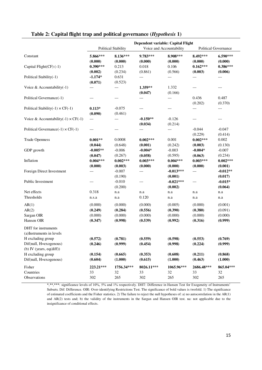|                                                                                                                                                     | Dependent variable: Capital Flight       |                                          |                                          |                                          |                                          |                                          |  |
|-----------------------------------------------------------------------------------------------------------------------------------------------------|------------------------------------------|------------------------------------------|------------------------------------------|------------------------------------------|------------------------------------------|------------------------------------------|--|
|                                                                                                                                                     |                                          | <b>Political Stability</b>               |                                          | Voice and Accountability                 |                                          | <b>Political Governance</b>              |  |
| Constant                                                                                                                                            | 5.866***<br>(0.000)                      | 8.136***<br>(0.000)                      | 9.783***<br>(0.000)                      | 8.908***<br>(0.000)                      | 8.492***<br>(0.000)                      | 6.590***<br>(0.000)                      |  |
| Capital Flight(CF) (-1)                                                                                                                             | $0.390***$<br>(0.002)                    | 0.213<br>(0.234)                         | 0.018<br>(0.861)                         | 0.106<br>(0.566)                         | $0.162***$<br>(0.003)                    | $0.386***$<br>(0.006)                    |  |
| Political Stability(-1)                                                                                                                             | $-1.174*$<br>(0.071)                     | 0.631<br>(0.523)                         | ---                                      | ---                                      | ---                                      | ---                                      |  |
| Voice & Accountability(-1)                                                                                                                          | ---                                      | ---                                      | 1.359**<br>(0.047)                       | 1.332<br>(0.166)                         | ---                                      | ---                                      |  |
| Political Governance(-1)                                                                                                                            | ---                                      | ---                                      | ---                                      | ---                                      | 0.436<br>(0.202)                         | 0.487<br>(0.370)                         |  |
| Political Stability(-1) $\times$ CF(-1)                                                                                                             | $0.113*$<br>(0.090)                      | $-0.075$<br>(0.461)                      |                                          | ---                                      | ---                                      | ---                                      |  |
| Voice & Accountability(-1) $\times$ CF(-1)                                                                                                          | $---$                                    | ---                                      | $-0.150**$<br>(0.034)                    | $-0.126$<br>(0.214)                      | ---                                      | ---                                      |  |
| Political Governance $(-1) \times CF(-1)$                                                                                                           | ---                                      | ---                                      | $---$                                    | ---                                      | $-0.044$<br>(0.229)                      | $-0.047$<br>(0.414)                      |  |
| <b>Trade Openness</b>                                                                                                                               | $0.001**$<br>(0.044)                     | 0.0008<br>(0.648)                        | $0.002***$<br>(0.001)                    | 0.001<br>(0.242)                         | $0.002***$<br>(0.003)                    | 0.002<br>(0.130)                         |  |
| GDP growth                                                                                                                                          | $-0.005**$<br>(0.047)                    | $-0.006$<br>(0.267)                      | $-0.004*$<br>(0.058)                     | $-0.003$<br>(0.595)                      | $-0.004*$<br>(0.063)                     | $-0.007$<br>(0.234)                      |  |
| Inflation                                                                                                                                           | $0.004***$<br>(0.000)                    | $0.002***$<br>(0.003)                    | $0.003***$<br>(0.000)                    | $0.004***$<br>(0.000)                    | $0.003***$<br>(0.000)                    | $0.002***$<br>(0.001)                    |  |
| Foreign Direct Investment                                                                                                                           | ---                                      | $-0.007$<br>(0.190)                      | ---                                      | $-0.013***$<br>(0.001)                   | ---                                      | $-0.012**$<br>(0.017)                    |  |
| Public Investment                                                                                                                                   | ---                                      | $-0.010$<br>(0.200)                      | ---                                      | $-0.021***$<br>(0.002)                   | ---                                      | $-0.015*$<br>(0.064)                     |  |
| Net effects                                                                                                                                         | 0.318                                    | n.a                                      | n.a                                      | n.a                                      | n.a                                      | n.a                                      |  |
| Thresholds                                                                                                                                          | n.s.a                                    | n.a                                      | 0.120                                    | n.a                                      | n.a                                      | n.a                                      |  |
| AR(1)<br>AR(2)<br>Sargan OIR<br>Hansen OIR                                                                                                          | (0.000)<br>(0.249)<br>(0.000)<br>(0.347) | (0.000)<br>(0.284)<br>(0.000)<br>(0.998) | (0.000)<br>(0.556)<br>(0.000)<br>(0.539) | (0.005)<br>(0.390)<br>(0.000)<br>(0.992) | (0.000)<br>(0.380)<br>(0.000)<br>(0.316) | (0.001)<br>(0.091)<br>(0.000)<br>(0.999) |  |
| DHT for instruments<br>(a) Instruments in levels<br>H excluding group<br>Dif(null, H=exogenous)<br>(b) IV (years, $eq(diff)$ )<br>H excluding group | (0.572)<br>(0.246)<br>(0.154)            | (0.781)<br>(0.999)<br>(0.665)            | (0.559)<br>(0.454)<br>(0.353)            | (0.598)<br>(0.998)<br>(0.608)            | (0.553)<br>(0.224)<br>(0.211)            | (0.769)<br>(0.999)<br>(0.868)            |  |
| Dif(null, H=exogenous)                                                                                                                              | (0.604)                                  | (1.000)                                  | (0.615)                                  | (1.000)                                  | (0.463)                                  | (1.000)                                  |  |
| Fisher<br>Countries<br>Observations                                                                                                                 | 223.21***<br>33<br>302                   | 1756.34***<br>32<br>265                  | 8026.11***<br>33<br>302                  | 1065.96***<br>32<br>265                  | 2686.48***<br>33<br>302                  | 865.04***<br>32<br>265                   |  |

# **Table 2: Capital flight trap and political governance (***Hypothesis* **1)**

\*,\*\*,\*\*\*: significance levels of 10%, 5% and 1% respectively. DHT: Difference in Hansen Test for Exogeneity of Instruments' Subsets. Dif: Difference. OIR: Over-identifying Restrictions Test. The significance of bold values is twofold. 1) The significance of estimated coefficients and the Fisher statistics. 2) The failure to reject the null hypotheses of: a) no autocorrelation in the AR(1) and AR(2) tests and; b) the validity of the instruments in the Sargan and Hansen OIR test. na: not applicable due to the insignificance of conditional effects.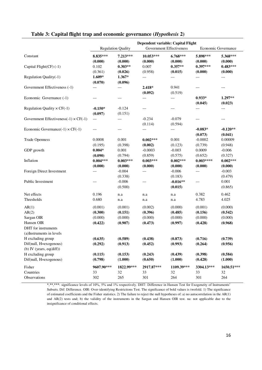|                                                                                                                              | Dependent variable: Capital Flight<br><b>Government Effectiveness</b><br><b>Regulation Quality</b><br>Economic Governance |                                          |                                          |                                          |                                          |                                          |  |
|------------------------------------------------------------------------------------------------------------------------------|---------------------------------------------------------------------------------------------------------------------------|------------------------------------------|------------------------------------------|------------------------------------------|------------------------------------------|------------------------------------------|--|
|                                                                                                                              |                                                                                                                           |                                          |                                          |                                          |                                          |                                          |  |
| Constant                                                                                                                     | 8.835***<br>(0.000)                                                                                                       | 7.213***<br>(0.000)                      | 10.053***<br>(0.000)                     | $6.768***$<br>(0.000)                    | 5.898***<br>(0.000)                      | 5.368***<br>(0.000)                      |  |
| Capital Flight(CF) (-1)                                                                                                      | 0.102<br>(0.361)                                                                                                          | $0.303**$<br>(0.026)                     | 0.007<br>(0.958)                         | $0.357**$<br>(0.015)                     | $0.397***$<br>(0.000)                    | $0.483***$<br>(0.000)                    |  |
| Regulation Quality(-1)                                                                                                       | $1.609*$<br>(0.070)                                                                                                       | $1.367*$<br>(0.096)                      | ---                                      | ---                                      | ---                                      | ---                                      |  |
| Government Effectiveness (-1)                                                                                                | ---                                                                                                                       |                                          | $2.418*$<br>(0.092)                      | 0.941<br>(0.519)                         | ---                                      | ---                                      |  |
| Economic Governance (-1)                                                                                                     | ---                                                                                                                       |                                          | ---                                      | $---$                                    | $0.933*$<br>(0.045)                      | $1.297**$<br>(0.023)                     |  |
| Regulation Quality $\times$ CF(-1)                                                                                           | $-0.150*$<br>(0.097)                                                                                                      | $-0.124$<br>(0.151)                      | ---                                      |                                          | ---                                      | $---$                                    |  |
| Government Effectiveness(-1) $\times$ CF(-1)                                                                                 | $---$                                                                                                                     | $---$                                    | $-0.234$<br>(0.114)                      | $-0.079$<br>(0.594)                      | ---                                      | ---                                      |  |
| Economic Governance $(-1) \times CF(-1)$                                                                                     | ---                                                                                                                       |                                          | ---                                      | ---                                      | $-0.083*$<br>(0.073)                     | $-0.120**$<br>(0.041)                    |  |
| <b>Trade Openness</b>                                                                                                        | 0.0008<br>(0.195)                                                                                                         | 0.001<br>(0.398)                         | $0.002***$<br>(0.002)                    | 0.001<br>(0.123)                         | $-0.0002$<br>(0.739)                     | 0.00009<br>(0.948)                       |  |
| GDP growth                                                                                                                   | $0.004*$<br>(0.090)                                                                                                       | 0.001                                    | $-0.0003$                                | $-0.003$                                 | 0.0009<br>(0.652)                        | $-0.006$                                 |  |
| Inflation                                                                                                                    | $0.004***$                                                                                                                | (0.794)<br>$0.003***$                    | (0.859)<br>$0.003***$                    | (0.575)<br>$0.002***$                    | $0.003***$                               | (0.327)<br>$0.002***$                    |  |
| Foreign Direct Investment                                                                                                    | (0.000)<br>---                                                                                                            | (0.000)<br>$-0.004$                      | (0.000)<br>---                           | (0.000)<br>$-0.006$                      | (0.000)<br>---                           | (0.000)<br>$-0.003$                      |  |
| Public Investment                                                                                                            | ---                                                                                                                       | (0.338)<br>$-0.006$<br>(0.500)           | ---                                      | (0.183)<br>$-0.016**$<br>(0.015)         | $---$                                    | (0.479)<br>0.001<br>(0.865)              |  |
| Net effects                                                                                                                  | 0.196                                                                                                                     | n.a                                      | n.a                                      | n.a                                      | 0.382                                    | 0.462                                    |  |
| Thresholds                                                                                                                   | 0.680                                                                                                                     | n.a                                      | n.a                                      | n.a                                      | 4.783                                    | 4.025                                    |  |
| AR(1)<br>AR(2)<br>Sargan OIR<br>Hansen OIR<br>DHT for instruments                                                            | (0.001)<br>(0.300)<br>(0.000)<br>(0.422)                                                                                  | (0.001)<br>(0.151)<br>(0.000)<br>(0.907) | (0.002)<br>(0.396)<br>(0.000)<br>(0.473) | (0.000)<br>(0.485)<br>(0.000)<br>(0.997) | (0.001)<br>(0.156)<br>(0.000)<br>(0.428) | (0.000)<br>(0.542)<br>(0.000)<br>(0.968) |  |
| (a) Instruments in levels<br>H excluding group<br>Dif(null, H=exogenous)<br>(b) IV (years, $eq(diff)$ )<br>H excluding group | (0.635)<br>(0.292)<br>(0.115)                                                                                             | (0.589)<br>(0.913)<br>(0.153)            | (0.438)<br>(0.452)<br>(0.243)            | (0.873)<br>(0.993)<br>(0.439)            | (0.716)<br>(0.264)<br>(0.398)            | (0.739)<br>(0.956)<br>(0.584)            |  |
| Dif(null, H=exogenous)                                                                                                       | (0.798)                                                                                                                   | (1.000)                                  | (0.650)                                  | (1.000)                                  | (0.428)                                  | (1.000)                                  |  |
| Fisher<br>Countries<br>Observations                                                                                          | 9607.90***<br>33<br>302                                                                                                   | 1822.99***<br>32<br>265                  | 2917.87***<br>33<br>301                  | 1109.39***<br>32<br>264                  | 3304.13***<br>33<br>301                  | 1650.51***<br>32<br>264                  |  |

# **Table 3: Capital flight trap and economic governance (***Hypothesis* **2)**

\*,\*\*,\*\*\*: significance levels of 10%, 5% and 1% respectively. DHT: Difference in Hansen Test for Exogeneity of Instruments' Subsets. Dif: Difference. OIR: Over-identifying Restrictions Test. The significance of bold values is twofold. 1) The significance of estimated coefficients and the Fisher statistics. 2) The failure to reject the null hypotheses of: a) no autocorrelation in the AR(1) and AR(2) tests and; b) the validity of the instruments in the Sargan and Hansen OIR test. na: not applicable due to the insignificance of conditional effects.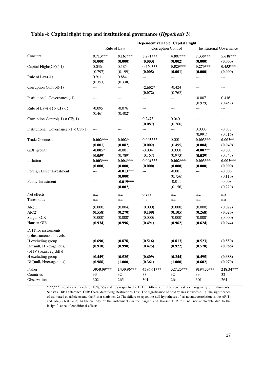|                                                                                                 | Dependent variable: Capital Flight<br>Rule of Law<br>Corruption Control<br><b>Institutional Governance</b> |                                          |                                          |                                          |                                          |                                          |  |
|-------------------------------------------------------------------------------------------------|------------------------------------------------------------------------------------------------------------|------------------------------------------|------------------------------------------|------------------------------------------|------------------------------------------|------------------------------------------|--|
| Constant                                                                                        | $9.713***$<br>(0.000)                                                                                      | $8.167***$<br>(0.000)                    | 5.291***<br>(0.003)                      | 4.897***<br>(0.002)                      | 7.338***<br>(0.000)                      | 5.618***<br>(0.000)                      |  |
| Capital Flight(CF) (-1)                                                                         | 0.036<br>(0.797)                                                                                           | 0.185<br>(0.199)                         | $0.460***$<br>(0.008)                    | $0.529***$<br>(0.001)                    | $0.270***$<br>(0.000)                    | $0.453***$<br>(0.000)                    |  |
| Rule of $Law(-1)$                                                                               | 0.911<br>(0.353)                                                                                           | 0.884<br>(0.338)                         | $---$                                    | $---$                                    | ---                                      | $---$                                    |  |
| Corruption Control(-1)                                                                          | ---                                                                                                        | ---                                      | $-2.602*$<br>(0.072)                     | $-0.424$<br>(0.762)                      | ---                                      | ---                                      |  |
| Institutional Governance (-1)                                                                   | ---                                                                                                        | ---                                      | ---                                      | $---$                                    | $-0.007$<br>(0.979)                      | 0.416<br>(0.457)                         |  |
| Rule of Law $(-1) \times CF(-1)$                                                                | $-0.095$<br>(0.46)                                                                                         | $-0.076$<br>(0.402)                      | ---                                      | $---$                                    | ---                                      | ---                                      |  |
| Corruption Control(-1) $\times$ CF(-1)                                                          | ---                                                                                                        | ---                                      | $0.247*$<br>(0.087)                      | 0.040<br>(0.766)                         | ---                                      | ---                                      |  |
| Institutional Governance $(-1) \times CF(-1)$                                                   | $---$                                                                                                      | ---                                      | ---                                      | ---                                      | 0.0003<br>(0.991)                        | $-0.037$<br>(0.516)                      |  |
| <b>Trade Openness</b>                                                                           | $0.002***$<br>(0.001)                                                                                      | $0.002*$<br>(0.082)                      | $0.003***$<br>(0.002)                    | 0.001<br>(0.495)                         | $0.003***$<br>(0.004)                    | $0.002**$<br>(0.049)                     |  |
| GDP growth                                                                                      | $-0.005*$<br>(0.059)                                                                                       | $-0.001$<br>(0.789)                      | $-0.004$<br>(0.167)                      | 0.0001<br>(0.973)                        | $-0.007**$<br>(0.029)                    | $-0.003$<br>(0.345)                      |  |
| Inflation                                                                                       | $0.003***$<br>(0.000)                                                                                      | $0.004***$<br>(0.000)                    | $0.004***$<br>(0.000)                    | $0.002***$<br>(0.000)                    | $0.003***$<br>(0.000)                    | $0.002***$<br>(0.000)                    |  |
| Foreign Direct Investment                                                                       | ---                                                                                                        | $-0.013***$<br>(0.000)                   | ---                                      | $-0.001$<br>(0.756)                      | $---$                                    | $-0.006$<br>(0.110)                      |  |
| Public Investment                                                                               | ---                                                                                                        | $-0.019***$<br>(0.002)                   | $---$                                    | $-0.011$<br>(0.156)                      | ---                                      | $-0.008$<br>(0.279)                      |  |
| Net effects                                                                                     | n.a                                                                                                        | n.a                                      | 0.288                                    | n.a                                      | n.a                                      | n.a                                      |  |
| Thresholds                                                                                      | n.a                                                                                                        | n.a                                      | n.a                                      | n.a                                      | n.a                                      | n.a                                      |  |
| AR(1)<br>AR(2)<br>Sargan OIR<br>Hansen OIR                                                      | (0.000)<br>(0.558)<br>(0.000)<br>(0.934)                                                                   | (0.004)<br>(0.270)<br>(0.000)<br>(0.996) | (0.000)<br>(0.109)<br>(0.000)<br>(0.491) | (0.000)<br>(0.105)<br>(0.000)<br>(0.962) | (0.000)<br>(0.268)<br>(0.000)<br>(0.624) | (0.022)<br>(0.320)<br>(0.000)<br>(0.944) |  |
| DHT for instruments<br>(a) Instruments in levels<br>H excluding group<br>Dif(null, H=exogenous) | (0.690)<br>(0.910)                                                                                         | (0.878)<br>(0.990)                       | (0.516)<br>(0.425)                       | (0.813)<br>(0.922)                       | (0.523)<br>(0.578)                       | (0.550)<br>(0.966)                       |  |
| (b) IV (years, $eq(diff)$ )<br>H excluding group<br>Dif(null, H=exogenous)                      | (0.449)<br>(0.988)                                                                                         | (0.525)<br>(1.000)                       | (0.609)<br>(0.361)                       | (0.344)<br>(1.000)                       | (0.495)<br>(0.602)                       | (0.688)<br>(0.970)                       |  |
| Fisher<br>Countries<br>Observations                                                             | 3058.09***<br>33<br>302                                                                                    | 1430.96***<br>32<br>265                  | 4386.61***<br>33<br>301                  | 527.25***<br>32<br>264                   | 9194.55***<br>33<br>301                  | 218.34***<br>32<br>264                   |  |

# **Table 4: Capital flight trap and institutional governance (***Hypothesis* **3)**

\*,\*\*,\*\*\*: significance levels of 10%, 5% and 1% respectively. DHT: Difference in Hansen Test for Exogeneity of Instruments' Subsets. Dif: Difference. OIR: Over-identifying Restrictions Test. The significance of bold values is twofold. 1) The significance of estimated coefficients and the Fisher statistics. 2) The failure to reject the null hypotheses of: a) no autocorrelation in the AR(1) and AR(2) tests and; b) the validity of the instruments in the Sargan and Hansen OIR test. na: not applicable due to the insignificance of conditional effects.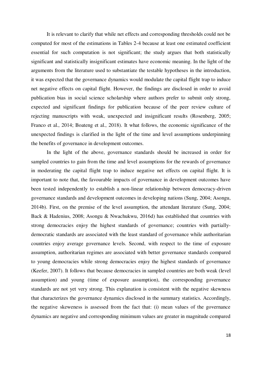It is relevant to clarify that while net effects and corresponding thresholds could not be computed for most of the estimations in Tables 2-4 because at least one estimated coefficient essential for such computation is not significant; the study argues that both statistically significant and statistically insignificant estimates have economic meaning. In the light of the arguments from the literature used to substantiate the testable hypotheses in the introduction, it was expected that the governance dynamics would modulate the capital flight trap to induce net negative effects on capital flight. However, the findings are disclosed in order to avoid publication bias in social science scholarship where authors prefer to submit only strong, expected and significant findings for publication because of the peer review culture of rejecting manuscripts with weak, unexpected and insignificant results (Rosenberg, 2005; Franco et al., 2014; Boateng et al., 2018). It what follows, the economic significance of the unexpected findings is clarified in the light of the time and level assumptions underpinning the benefits of governance in development outcomes.

 In the light of the above, governance standards should be increased in order for sampled countries to gain from the time and level assumptions for the rewards of governance in moderating the capital flight trap to induce negative net effects on capital flight. It is important to note that, the favourable impacts of governance in development outcomes have been tested independently to establish a non-linear relationship between democracy-driven governance standards and development outcomes in developing nations (Sung, 2004; Asongu, 2014b). First, on the premise of the level assumption, the attendant literature (Sung, 2004; Back & Hadenius, 2008; Asongu & Nwachukwu, 2016d) has established that countries with strong democracies enjoy the highest standards of governance; countries with partiallydemocratic standards are associated with the least standard of governance while authoritarian countries enjoy average governance levels. Second, with respect to the time of exposure assumption, authoritarian regimes are associated with better governance standards compared to young democracies while strong democracies enjoy the highest standards of governance (Keefer, 2007). It follows that because democracies in sampled countries are both weak (level assumption) and young (time of exposure assumption), the corresponding governance standards are not yet very strong. This explanation is consistent with the negative skewness that characterizes the governance dynamics disclosed in the summary statistics. Accordingly, the negative skeweness is assessed from the fact that: (i) mean values of the governance dynamics are negative and corresponding minimum values are greater in magnitude compared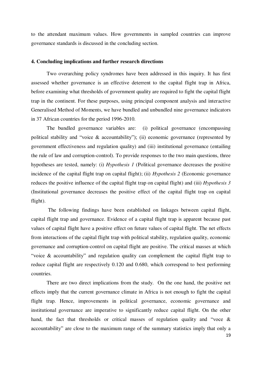to the attendant maximum values. How governments in sampled countries can improve governance standards is discussed in the concluding section.

#### **4. Concluding implications and further research directions**

Two overarching policy syndromes have been addressed in this inquiry. It has first assessed whether governance is an effective deterrent to the capital flight trap in Africa, before examining what thresholds of government quality are required to fight the capital flight trap in the continent. For these purposes, using principal component analysis and interactive Generalised Method of Moments, we have bundled and unbundled nine governance indicators in 37 African countries for the period 1996-2010.

The bundled governance variables are: (i) political governance (encompassing political stability and "voice & accountability"); (ii) economic governance (represented by government effectiveness and regulation quality) and (iii) institutional governance (entailing the rule of law and corruption-control). To provide responses to the two main questions, three hypotheses are tested, namely: (i) *Hypothesis 1* (Political governance decreases the positive incidence of the capital flight trap on capital flight); (ii) *Hypothesis 2* (Economic governance reduces the positive influence of the capital flight trap on capital flight) and (iii) *Hypothesis 3* (Institutional governance decreases the positive effect of the capital flight trap on capital flight).

 The following findings have been established on linkages between capital flight, capital flight trap and governance. Evidence of a capital flight trap is apparent because past values of capital flight have a positive effect on future values of capital flight. The net effects from interactions of the capital flight trap with political stability, regulation quality, economic governance and corruption-control on capital flight are positive. The critical masses at which "voice & accountability" and regulation quality can complement the capital flight trap to reduce capital flight are respectively 0.120 and 0.680, which correspond to best performing countries.

 There are two direct implications from the study. On the one hand, the positive net effects imply that the current governance climate in Africa is not enough to fight the capital flight trap. Hence, improvements in political governance, economic governance and institutional governance are imperative to significantly reduce capital flight. On the other hand, the fact that thresholds or critical masses of regulation quality and "voce & accountability" are close to the maximum range of the summary statistics imply that only a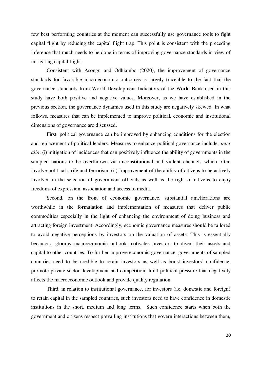few best performing countries at the moment can successfully use governance tools to fight capital flight by reducing the capital flight trap. This point is consistent with the preceding inference that much needs to be done in terms of improving governance standards in view of mitigating capital flight.

 Consistent with Asongu and Odhiambo (2020), the improvement of governance standards for favorable macroeconomic outcomes is largely traceable to the fact that the governance standards from World Development Indicators of the World Bank used in this study have both positive and negative values. Moreover, as we have established in the previous section, the governance dynamics used in this study are negatively skewed. In what follows, measures that can be implemented to improve political, economic and institutional dimensions of governance are discussed.

 First, political governance can be improved by enhancing conditions for the election and replacement of political leaders. Measures to enhance political governance include, *inter alia*: (i) mitigation of incidences that can positively influence the ability of governments in the sampled nations to be overthrown via unconstitutional and violent channels which often involve political strife and terrorism. (ii) Improvement of the ability of citizens to be actively involved in the selection of government officials as well as the right of citizens to enjoy freedoms of expression, association and access to media.

Second, on the front of economic governance, substantial ameliorations are worthwhile in the formulation and implementation of measures that deliver public commodities especially in the light of enhancing the environment of doing business and attracting foreign investment. Accordingly, economic governance measures should be tailored to avoid negative perceptions by investors on the valuation of assets. This is essentially because a gloomy macroeconomic outlook motivates investors to divert their assets and capital to other countries. To further improve economic governance, governments of sampled countries need to be credible to retain investors as well as boost investors' confidence, promote private sector development and competition, limit political pressure that negatively affects the macroeconomic outlook and provide quality regulation.

Third, in relation to institutional governance, for investors (i.e. domestic and foreign) to retain capital in the sampled countries, such investors need to have confidence in domestic institutions in the short, medium and long terms. Such confidence starts when both the government and citizens respect prevailing institutions that govern interactions between them,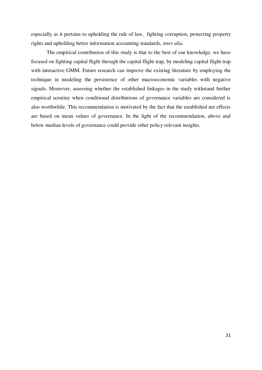especially as it pertains to upholding the rule of law, fighting corruption, protecting property rights and upholding better information accounting standards, *inter alia*.

 The empirical contribution of this study is that to the best of our knowledge, we have focused on fighting capital flight through the capital flight trap, by modeling capital flight trap with interactive GMM. Future research can improve the existing literature by employing the technique in modeling the persistence of other macroeconomic variables with negative signals. Moreover, assessing whether the established linkages in the study withstand further empirical scrutiny when conditional distributions of governance variables are considered is also worthwhile. This recommendation is motivated by the fact that the established net effects are based on mean values of governance. In the light of the recommendation, above and below median levels of governance could provide other policy relevant insights.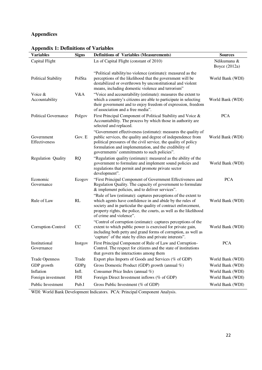# **Appendices**

| <b>Variables</b>            | <b>Signs</b> | <b>Definitions of Variables (Measurements)</b>                                                                                                                                                                                                                                                            | <b>Sources</b>               |
|-----------------------------|--------------|-----------------------------------------------------------------------------------------------------------------------------------------------------------------------------------------------------------------------------------------------------------------------------------------------------------|------------------------------|
| Capital Flight              |              | Ln of Capital Flight (constant of 2010)                                                                                                                                                                                                                                                                   | Ndikumana &<br>Boyce (2012a) |
| <b>Political Stability</b>  | PolSta       | "Political stability/no violence (estimate): measured as the<br>perceptions of the likelihood that the government will be<br>destabilized or overthrown by unconstitutional and violent<br>means, including domestic violence and terrorism"                                                              | World Bank (WDI)             |
| Voice &<br>Accountability   | V&A          | "Voice and accountability (estimate): measures the extent to<br>which a country's citizens are able to participate in selecting<br>their government and to enjoy freedom of expression, freedom<br>of association and a free media".                                                                      | World Bank (WDI)             |
| <b>Political Governance</b> | Polgov       | First Principal Component of Political Stability and Voice &<br>Accountability. The process by which those in authority are<br>selected and replaced.                                                                                                                                                     | <b>PCA</b>                   |
| Government<br>Effectiveness | Gov. E       | "Government effectiveness (estimate): measures the quality of<br>public services, the quality and degree of independence from<br>political pressures of the civil service, the quality of policy<br>formulation and implementation, and the credibility of<br>governments' commitments to such policies". | World Bank (WDI)             |
| Regulation Quality          | <b>RQ</b>    | "Regulation quality (estimate): measured as the ability of the<br>government to formulate and implement sound policies and<br>regulations that permit and promote private sector<br>development".                                                                                                         | World Bank (WDI)             |
| Economic<br>Governance      | Ecogov       | "First Principal Component of Government Effectiveness and<br>Regulation Quality. The capacity of government to formulate<br>& implement policies, and to deliver services".                                                                                                                              | <b>PCA</b>                   |
| Rule of Law                 | RL           | "Rule of law (estimate): captures perceptions of the extent to<br>which agents have confidence in and abide by the rules of<br>society and in particular the quality of contract enforcement,<br>property rights, the police, the courts, as well as the likelihood<br>of crime and violence".            | World Bank (WDI)             |
| Corruption-Control          | CC           | "Control of corruption (estimate): captures perceptions of the<br>extent to which public power is exercised for private gain,<br>including both petty and grand forms of corruption, as well as<br>'capture' of the state by elites and private interests".                                               | World Bank (WDI)             |
| Institutional<br>Governance | Instgov      | First Principal Component of Rule of Law and Corruption-<br>Control. The respect for citizens and the state of institutions<br>that govern the interactions among them                                                                                                                                    | <b>PCA</b>                   |
| <b>Trade Openness</b>       | Trade        | Export plus Imports of Goods and Services (% of GDP)                                                                                                                                                                                                                                                      | World Bank (WDI)             |
| GDP growth                  | GDPg         | Gross Domestic Product (GDP) growth (annual %)                                                                                                                                                                                                                                                            | World Bank (WDI)             |
| Inflation                   | Infl.        | Consumer Price Index (annual %)                                                                                                                                                                                                                                                                           | World Bank (WDI)             |
| Foreign investment          | <b>FDI</b>   | Foreign Direct Investment inflows (% of GDP)                                                                                                                                                                                                                                                              | World Bank (WDI)             |
| Public Investment           | Pub.I        | Gross Public Investment (% of GDP)                                                                                                                                                                                                                                                                        | World Bank (WDI)             |

# **Appendix 1: Definitions of Variables**

WDI: World Bank Development Indicators. PCA: Principal Component Analysis.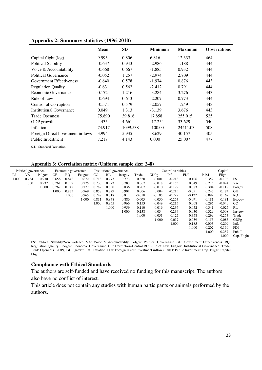|  | Appendix 2: Summary statistics (1996-2010) |
|--|--------------------------------------------|
|--|--------------------------------------------|

|                                   | <b>Mean</b> | <b>SD</b> | <b>Minimum</b> | <b>Maximum</b> | <b>Observations</b> |
|-----------------------------------|-------------|-----------|----------------|----------------|---------------------|
| Capital flight (log)              | 9.993       | 0.806     | 6.816          | 12.333         | 464                 |
| <b>Political Stability</b>        | $-0.637$    | 0.943     | $-2.986$       | 1.188          | 444                 |
| Voice & Accountability            | $-0.668$    | 0.667     | $-1.885$       | 0.932          | 444                 |
| <b>Political Governance</b>       | $-0.052$    | 1.257     | $-2.974$       | 2.709          | 444                 |
| Government Effectiveness          | $-0.640$    | 0.578     | $-1.974$       | 0.876          | 443                 |
| <b>Regulation Quality</b>         | $-0.631$    | 0.562     | $-2.412$       | 0.791          | 444                 |
| Economic Governance               | 0.172       | 1.216     | $-3.284$       | 3.276          | 443                 |
| Rule of Law                       | $-0.694$    | 0.613     | $-2.207$       | 0.773          | 444                 |
| Control of Corruption             | $-0.571$    | 0.579     | $-2.057$       | 1.249          | 443                 |
| Institutional Governance          | 0.049       | 1.313     | $-3.139$       | 3.676          | 443                 |
| <b>Trade Openness</b>             | 75.890      | 39.816    | 17.858         | 255.015        | 525                 |
| GDP growth                        | 4.435       | 4.661     | $-17.254$      | 33.629         | 540                 |
| Inflation                         | 74.917      | 1099.538  | $-100.00$      | 24411.03       | 508                 |
| Foreign Direct Investment inflows | 3.994       | 5.935     | $-8.629$       | 40.157         | 405                 |
| Public Investment                 | 7.217       | 4.143     | 0.000          | 25.007         | 477                 |

S.D: Standard Deviation.

**Appendix 3: Correlation matrix (Uniform sample size: 248)** 

| Economic governance                                                                                                                                       |             |
|-----------------------------------------------------------------------------------------------------------------------------------------------------------|-------------|
| VA<br>GE<br><b>RQ</b><br>CC<br>GDPg<br>Infl.<br><b>FDI</b><br><b>PS</b><br>RL<br>Flight<br>Polgov<br>Pub.I<br>Ecogov<br>Instgov<br>Trade                  |             |
| 1.000<br>0.734<br>0.718<br>$-0.001$<br>0.352<br>0.930<br>0.658<br>0.642<br>0.672<br>0.773<br>0.773<br>0.320<br>$-0.218$<br>0.106<br>$-0.196$<br><b>PS</b> |             |
| 1.000<br>0.761<br>0.739<br>0.738<br>0.773<br>0.783<br>$-0.018$<br>$-0.024$<br>VA<br>0.932<br>0.775<br>0.067<br>0.215<br>$-0.153$<br>0.049                 |             |
| 0.762<br>0.742<br>0.777<br>0.782<br>1.000<br>0.830<br>0.836<br>0.207<br>$-0.010$<br>$-0.199$<br>0.304<br>$-0.118$<br>0.083                                | Polgov      |
| 1.000<br>0.858<br>0.004<br>0.873<br>0.969<br>0.879<br>0.901<br>0.006<br>$-0.215$<br>0.247<br>0.184<br>GE<br>$-0.051$                                      |             |
| $-0.105$<br>0.099<br><b>RQ</b><br>1.000<br>0.747<br>0.818<br>0.811<br>$-0.018$<br>$-0.297$<br>$-0.127$<br>0.167<br>0.965                                  |             |
| 0.886<br>0.181<br>0.831<br>0.878<br>$-0.005$<br>$-0.050$<br>$-0.263$<br>0.181<br>.000<br>$-0.091$                                                         | Ecogov      |
| $-0.040$<br>1.000<br>0.855<br>$-0.049$<br>0.296<br>0.966<br>0.153<br>$-0.215$<br>0.008<br>CC                                                              |             |
| 1.000<br>0.959<br>0.027<br>RL<br>0.110<br>$-0.016$<br>$-0.236$<br>0.052<br>0.341                                                                          |             |
| 1.000<br>$-0.008$<br>$-0.034$<br>$-0.234$<br>0.329<br>0.138<br>0.030                                                                                      | Instgov     |
| 1.000<br>$-0.051$<br>0.127<br>0.299<br>$-0.253$<br>0.358                                                                                                  | Trade       |
| 1.000<br>0.037<br>0.155<br>0.085<br>0.039                                                                                                                 | GDPg        |
| 1.000<br>$-0.003$<br>0.209<br>Infl.<br>0.185                                                                                                              |             |
| <b>FDI</b><br>1.000<br>0.202<br>$-0.169$                                                                                                                  |             |
| 1.000<br>$-0.257$                                                                                                                                         | Pub. I      |
| 1.000                                                                                                                                                     | Cap. Flight |

PS: Political Stability/Non violence. VA: Voice & Accountability. Polgov: Political Governance. GE: Government Effectiveness. RQ: Regulation Quality. Ecogov: Economic Governance. CC: Corruption-Control.RL: Rule of Law. Instgov: Institutional Governance. Trade: Trade Openness. GDPg: GDP growth. Infl: Inflation. FDI: Foreign Direct Investment inflows. Pub.I: Public Investment. Cap. Flight: Capital Flight.

### **Compliance with Ethical Standards**

The authors are self-funded and have received no funding for this manuscript. The authors

also have no conflict of interest.

This article does not contain any studies with human participants or animals performed by the authors.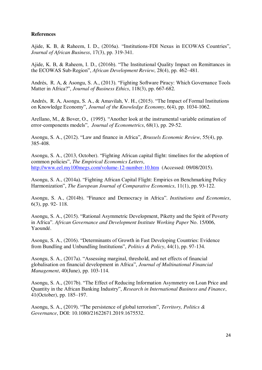### **References**

Ajide, K. B, & Raheem, I. D., (2016a). "Institutions-FDI Nexus in ECOWAS Countries", *Journal of African Business*, 17(3), pp. 319-341.

Ajide, K. B, & Raheem, I. D., (2016b). "The Institutional Quality Impact on Remittances in the ECOWAS Sub-Region", *African Development Review*, 28(4), pp. 462–481.

Andrés, R. A, & Asongu, S. A., (2013). "Fighting Software Piracy: Which Governance Tools Matter in Africa?", *Journal of Business Ethics*, 118(3), pp. 667-682.

Andrés, R. A, Asongu, S. A., & Amavilah, V. H., (2015). "The Impact of Formal Institutions on Knowledge Economy", *Journal of the Knowledge Economy*, 6(4), pp. 1034-1062.

Arellano, M., & Bover, O., (1995). "Another look at the instrumental variable estimation of error-components models", *Journal of Econometrics*, 68(1), pp. 29-52.

Asongu, S. A., (2012). "Law and finance in Africa", *Brussels Economic Review*, 55(4), pp. 385-408.

Asongu, S. A., (2013, October). "Fighting African capital flight: timelines for the adoption of common policies", *The Empirical Economics Letters*, <http://www.eel.my100megs.com/volume-12-number-10.htm>(Accessed: 09/08/2015).

Asongu, S. A., (2014a). "Fighting African Capital Flight: Empirics on Benchmarking Policy Harmonization", *The European Journal of Comparative Economics*, 11(1), pp. 93-122.

Asongu, S. A., (2014b). "Finance and Democracy in Africa". *Institutions and Economies*, 6(3), pp. 92- 118.

Asongu, S. A., (2015). "Rational Asymmetric Development, Piketty and the Spirit of Poverty in Africa". *African Governance and Development Institute Working Paper* No. 15/006, Yaoundé.

Asongu, S. A., (2016). "Determinants of Growth in Fast Developing Countries: Evidence from Bundling and Unbundling Institutions", *Politics & Policy*, 44(1), pp. 97-134.

Asongu, S. A., (2017a). "Assessing marginal, threshold, and net effects of financial globalisation on financial development in Africa", *Journal of Multinational Financial Management*, 40(June), pp. 103-114.

Asongu, S. A., (2017b). "The Effect of Reducing Information Asymmetry on Loan Price and Quantity in the African Banking Industry", *Research in International Business and Finance*, 41(October), pp. 185–197.

Asongu, S. A., (2019). "The persistence of global terrorism", *Territory, Politics & Governance*, DOI: 10.1080/21622671.2019.1675532.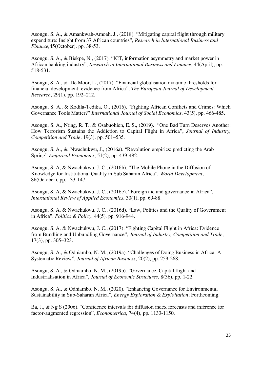Asongu, S. A., & Amankwah-Amoah, J., (2018). "Mitigating capital flight through military expenditure: Insight from 37 African countries", *Research in International Business and Finance,*45(October), pp. 38-53.

Asongu, S. A., & Biekpe, N., (2017). "ICT, information asymmetry and market power in African banking industry", *Research in International Business and Finance*, 44(April), pp. 518-531.

Asongu, S. A., & De Moor, L., (2017). "Financial globalisation dynamic thresholds for financial development: evidence from Africa", *The European Journal of Development Research*, 29(1), pp. 192–212.

Asongu, S. A., & Kodila-Tedika, O., (2016). "Fighting African Conflicts and Crimes: Which Governance Tools Matter?" *International Journal of Social Economics*, 43(5), pp. 466-485.

Asongu, S. A., Nting, R. T., & Osabuohien, E. S., (2019). "One Bad Turn Deserves Another: How Terrorism Sustains the Addiction to Capital Flight in Africa", *Journal of Industry, Competition and Trade*, 19(3), pp. 501–535.

Asongu, S. A., & Nwachukwu, J., (2016a). "Revolution empirics: predicting the Arab Spring" *Empirical Economics*, 51(2), pp. 439-482.

Asongu, S. A, & Nwachukwu, J. C., (2016b). "The Mobile Phone in the Diffusion of Knowledge for Institutional Quality in Sub Saharan Africa", *World Development*, 86(October), pp. 133-147.

Asongu, S. A, & Nwachukwu, J. C., (2016c). "Foreign aid and governance in Africa", *International Review of Applied Economics*, 30(1), pp. 69-88.

Asongu, S. A, & Nwachukwu, J. C., (2016d). "Law, Politics and the Quality of Government in Africa". *Politics & Policy*, 44(5), pp. 916-944.

Asongu, S. A, & Nwachukwu, J. C., (2017). "Fighting Capital Flight in Africa: Evidence from Bundling and Unbundling Governance", *Journal of Industry, Competition and Trade*, 17(3), pp. 305–323.

Asongu, S. A., & Odhiambo, N. M., (2019a). "Challenges of Doing Business in Africa: A Systematic Review", *Journal of African Business*, 20(2), pp. 259-268.

Asongu, S. A., & Odhiambo, N. M., (2019b). "Governance, Capital flight and Industrialisation in Africa", *Journal of Economic Structures*, 8(36), pp. 1-22.

Asongu, S. A., & Odhiambo, N. M., (2020). "Enhancing Governance for Environmental Sustainability in Sub-Saharan Africa", *Energy Exploration & Exploitation*; Forthcoming.

Ba, J., & Ng S (2006). "Confidence intervals for diffusion index forecasts and inference for factor-augmented regression", *Econometrica*, 74(4), pp. 1133-1150.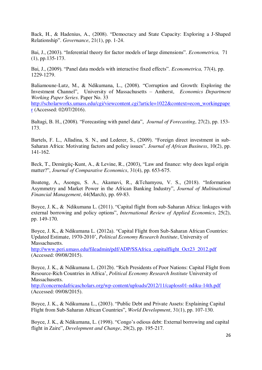Back, H., & Hadenius, A., (2008). "Democracy and State Capacity: Exploring a J-Shaped Relationship". *Governance*, 21(1), pp. 1-24.

Bai, J., (2003). "Inferential theory for factor models of large dimensions". *Econometrica,* 71 (1), pp.135-173.

Bai, J., (2009). "Panel data models with interactive fixed effects". *Econometrica,* 77(4), pp. 1229-1279.

Baliamoune-Lutz, M., & Ndikumana, L., (2008). "Corruption and Growth: Exploring the Investment Channel", University of Massachusetts – Amherst, *Economics Department Working Paper Series*. Paper No. 33

[http://scholarworks.umass.edu/cgi/viewcontent.cgi?article=1022&context=econ\\_workingpape](http://scholarworks.umass.edu/cgi/viewcontent.cgi?article=1022&context=econ_workingpaper) [r](http://scholarworks.umass.edu/cgi/viewcontent.cgi?article=1022&context=econ_workingpaper) (Accessed: 02/07/2016).

Baltagi, B. H., (2008). "Forecasting with panel data", *Journal of Forecasting*, 27(2), pp. 153- 173.

Bartels, F. L., Alladina, S. N., and Lederer, S., (2009). "Foreign direct investment in sub-Saharan Africa: Motivating factors and policy issues". *Journal of African Business*, 10(2), pp. 141-162.

Beck, T., Demirgüç-Kunt, A., & Levine, R., (2003), "Law and finance: why does legal origin matter?", *Journal of Comparative Economics*, 31(4), pp. 653-675.

Boateng, A., Asongu, S. A., Akamavi, R., &Tchamyou, V. S., (2018). "Information Asymmetry and Market Power in the African Banking Industry", *Journal of Multinational Financial Management*, 44(March), pp. 69-83.

Boyce, J. K., & Ndikumana L. (2011). "Capital flight from sub-Saharan Africa: linkages with external borrowing and policy options", *International Review of Applied Economics*, 25(2), pp. 149-170.

Boyce, J. K., & Ndikumana L. (2012a). "Capital Flight from Sub-Saharan African Countries: Updated Estimate, 1970-2010', *Political Economy Research Institute*, University of Massachusetts.

[http://www.peri.umass.edu/fileadmin/pdf/ADP/SSAfrica\\_capitalflight\\_Oct23\\_2012.pdf](http://www.peri.umass.edu/fileadmin/pdf/ADP/SSAfrica_capitalflight_Oct23_2012.pdf) (Accessed: 09/08/2015).

Boyce, J. K., & Ndikumana L. (2012b). "Rich Presidents of Poor Nations: Capital Flight from Resource-Rich Countries in Africa', *Political Economy Research Institute* University of Massachusetts.

<http://concernedafricascholars.org/wp-content/uploads/2012/11/caploss01-ndiku-14th.pdf> (Accessed: 09/08/2015).

Boyce, J. K., & Ndikumana L., (2003). "Public Debt and Private Assets: Explaining Capital Flight from Sub-Saharan African Countries", *World Development*, 31(1), pp. 107-130.

Boyce, J. K., & Ndikumana, L. (1998). "Congo's odious debt: External borrowing and capital flight in Zaire", *Development and Change*, 29(2), pp. 195-217.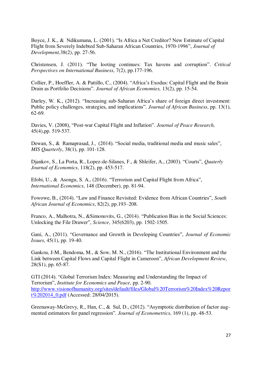Boyce, J. K., & Ndikumana, L. (2001). "Is Africa a Net Creditor? New Estimate of Capital Flight from Severely Indebted Sub-Saharan African Countries, 1970-1996", *Journal of Development,*38(2), pp. 27-56.

Christensen, J. (2011). "The looting continues: Tax havens and corruption". *Critical Perspectives on International Business*, 7(2), pp.177-196.

Collier, P., Hoeffler, A. & Pattillo, C., (2004). "Africa's Exodus: Capital Flight and the Brain Drain as Portfolio Decisions". *Journal of African Economies,* 13(2), pp. 15-54.

Darley, W. K., (2012). "Increasing sub-Saharan Africa's share of foreign direct investment: Public policy challenges, strategies, and implications". *Journal of African Business*, pp. 13(1), 62-69.

Davies, V. (2008), "Post-war Capital Flight and Inflation". *Journal of Peace Research,*  45(4),pp. 519-537.

Dewan, S., & Ramaprasad, J., (2014). "Social media, traditional media and music sales", *MIS Quarterly*, 38(1), pp. 101-128.

Djankov, S., La Porta, R., Lopez-de-Silanes, F., & Shleifer, A., (2003). "Courts", *Quaterly Journal of Economics*, 118(2), pp. 453-517.

Efobi, U., & Asongu, S. A., (2016). "Terrorism and Capital Flight from Africa", *International Economics*, 148 (December), pp. 81-94.

Fowowe, B., (2014). "Law and Finance Revisited: Evidence from African Countries", *South African Journal of Economics*, 82(2), pp.193–208.

Franco, A., Malhotra, N., &Simonovits, G., (2014). "Publication Bias in the Social Sciences: Unlocking the File Drawer", *Science*, 345(6203), pp. 1502-1505.

Gani, A., (2011). "Governance and Growth in Developing Countries", *Journal of Economic Issues*, 45(1), pp. 19-40.

Gankou, J-M., Bendoma, M., & Sow, M. N., (2016). "The Institutional Environment and the Link between Capital Flows and Capital Flight in Cameroon", *African Development Review*, 28(S1), pp. 65-87.

GTI (2014). "Global Terrorism Index: Measuring and Understanding the Impact of Terrorism", *Institute for Economics and Peace*, pp. 2-90. [http://www.visionofhumanity.org/sites/default/files/Global%20Terrorism%20Index%20Repor](http://www.visionofhumanity.org/sites/default/files/Global%20Terrorism%20Index%20Report%202014_0.pdf) [t%202014\\_0.pdf](http://www.visionofhumanity.org/sites/default/files/Global%20Terrorism%20Index%20Report%202014_0.pdf) (Accessed: 28/04/2015).

Greenaway-McGrevy, R., Han, C., & Sul, D., (2012). "Asymptotic distribution of factor augmented estimators for panel regression". *Journal of Econometrics*, 169 (1), pp. 48-53.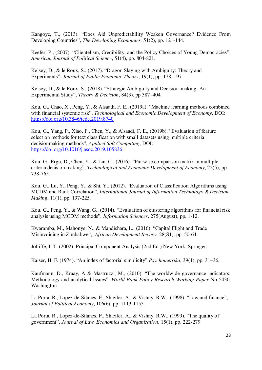Kangoye, T., (2013). "Does Aid Unpredictability Weaken Governance? Evidence From Developing Countries", *The Developing Economies,* 51(2), pp. 121-144.

Keefer, P., (2007). "Clientelism, Credibility, and the Policy Choices of Young Democracies". *American Journal of Political Science*, 51(4), pp. 804-821.

Kelsey, D., & le Roux, S., (2017). "Dragon Slaying with Ambiguity: Theory and Experiments", *Journal of Public Economic Theory*, 19(1), pp. 178–197.

Kelsey, D., & le Roux, S., (2018). "Strategic Ambiguity and Decision-making: An Experimental Study", *Theory & Decision*, 84(3), pp 387–404.

Kou, G., Chao, X., Peng, Y., & Alsaadi, F. E., (2019a). "Machine learning methods combined with financial systemic risk", *Technological and Economic Development of Economy*, DOI: <https://doi.org/10.3846/tede.2019.8740>

Kou, G., Yang, P., Xiao, F., Chen, Y., & Alsaadi, F. E., (2019b). "Evaluation of feature selection methods for text classification with small datasets using multiple criteria decisionmaking methods", *Applied Soft Computing*, DOI: [https://doi.org/10.1016/j.asoc.2019.105836.](https://doi.org/10.1016/j.asoc.2019.105836)

Kou, G., Ergu, D., Chen, Y., & Lin, C., (2016). "Pairwise comparison matrix in multiple criteria decision making", *Technological and Economic Development of Economy*, 22(5), pp. 738-765.

Kou, G., Lu, Y., Peng, Y., & Shi, Y., (2012). "Evaluation of Classification Algorithms using MCDM and Rank Correlation", *International Journal of Information Technology & Decision Making*, 11(1), pp. 197-225.

Kou, G., Peng, Y., & Wang, G., (2014). "Evaluation of clustering algorithms for financial risk analysis using MCDM methods", *Information Sciences*, 275(August), pp. 1-12.

Kwaramba, M., Mahonye, N., & Mandishara, L., (2016). "Capital Flight and Trade Misinvoicing in Zimbabwe", *African Development Review*, 28(S1), pp. 50-64.

Jolliffe, I. T. (2002). Principal Component Analysis (2nd Ed.) New York: Springer.

Kaiser, H. F. (1974). "An index of factorial simplicity" *Psychometrika*, 39(1), pp. 31–36.

Kaufmann, D., Kraay, A & Mastruzzi, M., (2010). "The worldwide governance indicators: Methodology and analytical Issues". *World Bank Policy Research Working Paper* No 5430, Washington.

La Porta, R., Lopez-de-Silanes, F., Shleifer, A., & Vishny, R.W., (1998). "Law and finance", *Journal of Political Economy*, 106(6), pp. 1113-1155.

La Porta, R., Lopez-de-Silanes, F., Shleifer, A., & Vishny, R.W., (1999). "The quality of government", *Journal of Law, Economics and Organization*, 15(1), pp. 222-279.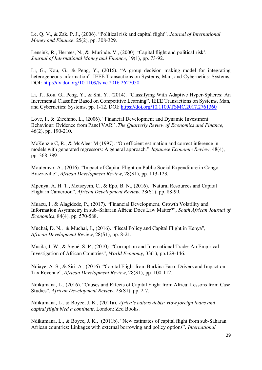Le, Q. V., & Zak. P. J., (2006). "Political risk and capital flight". *Journal of International Money and Finance*, 25(2), pp. 308-329.

Lensink, R., Hermes, N., & Murinde. V., (2000). 'Capital flight and political risk'. *Journal of International Money and Finance*, 19(1), pp. 73-92.

Li, G., Kou, G., & Peng, Y., (2016). "A group decision making model for integrating heterogeneous information". IEEE Transactions on Systems, Man, and Cybernetics: Systems, DOI:<http://dx.doi.org/10.1109/tsmc.2016.2627050>

Li, T., Kou, G., Peng, Y., & Shi, Y., (2014). "Classifying With Adaptive Hyper-Spheres: An Incremental Classifier Based on Competitive Learning", IEEE Transactions on Systems, Man, and Cybernetics: Systems, pp. 1-12. DOI:<https://doi.org/10.1109/TSMC.2017.2761360>

Love, I., & Zicchino, L., (2006). "Financial Development and Dynamic Investment Behaviour: Evidence from Panel VAR" .*The Quarterly Review of Economics and Finance*, 46(2), pp. 190-210.

McKenzie C, R., & McAleer M (1997). "On efficient estimation and correct inference in models with generated regressors: A general approach." *Japanese Economic Review*, 48(4), pp. 368-389.

Moulemvo, A., (2016). "Impact of Capital Flight on Public Social Expenditure in Congo-Brazzaville", *African Development Review*, 28(S1), pp. 113-123.

Mpenya, A. H. T., Metseyem, C., & Epo, B. N., (2016). "Natural Resources and Capital Flight in Cameroon", *African Development Review*, 28(S1), pp. 88-99.

Muazu, I., & Alagidede, P., (2017). "Financial Development, Growth Volatility and Information Asymmetry in sub–Saharan Africa: Does Law Matter?", *South African Journal of Economics*, 84(4), pp. 570-588.

Muchai, D. N., & Muchai, J., (2016). "Fiscal Policy and Capital Flight in Kenya", *African Development Review*, 28(S1), pp. 8-21.

Musila, J. W., & Sigué, S. P., (2010). "Corruption and International Trade: An Empirical Investigation of African Countries", *World Economy*, 33(1), pp.129-146.

Ndiaye, A. S., & Siri, A., (2016). "Capital Flight from Burkina Faso: Drivers and Impact on Tax Revenue", *African Development Review*, 28(S1), pp. 100-112.

Ndikumana, L., (2016). "Causes and Effects of Capital Flight from Africa: Lessons from Case Studies", *African Development Review*, 28(S1), pp. 2-7.

Ndikumana, L., & Boyce, J. K., (2011a), *Africa's odious debts: How foreign loans and capital flight bled a continent*. London: Zed Books.

Ndikumana, L., & Boyce, J. K., (2011b). "New estimates of capital flight from sub-Saharan African countries: Linkages with external borrowing and policy options". *International*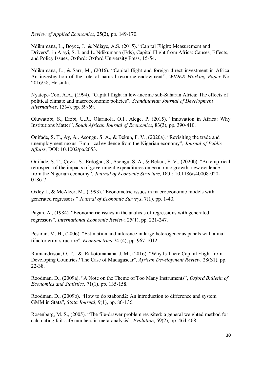*Review of Applied Economics*, 25(2), pp. 149-170.

Ndikumana, L., Boyce, J. & Ndiaye, A.S. (2015). "Capital Flight: Measurement and Drivers", in Ajayi, S. I. and L. Ndikumana (Eds), Capital Flight from Africa: Causes, Effects, and Policy Issues, Oxford: Oxford University Press, 15-54.

Ndikumana, L., & Sarr, M., (2016). "Capital flight and foreign direct investment in Africa: An investigation of the role of natural resource endowment", *WIDER Working Paper* No. 2016/58, Helsinki.

Nyatepe-Coo, A.A., (1994). "Capital flight in low-income sub-Saharan Africa: The effects of political climate and macroeconomic policies". *Scandinavian Journal of Development Alternatives*, 13(4), pp. 59-69.

Oluwatobi, S., Efobi, U.R., Olurinola, O.I., Alege, P. (2015), "Innovation in Africa: Why Institutions Matter", *South African Journal of Economics*, 83(3), pp. 390-410.

Onifade, S. T., Ay, A., Asongu, S. A., & Bekun, F. V., (2020a). "Revisiting the trade and unemployment nexus: Empirical evidence from the Nigerian economy", *Journal of Public Affairs*, DOI: 10.1002/pa.2053.

Onifade, S. T., Çevik, S., Erdoğan, S., Asongu, S. A., & Bekun, F. V., (2020b). "An empirical retrospect of the impacts of government expenditures on economic growth: new evidence from the Nigerian economy", *Journal of Economic Structure*, DOI: 10.1186/s40008-020- 0186-7.

Oxley L, & McAleer, M., (1993). "Econometric issues in macroeconomic models with generated regressors." *Journal of Economic Surveys*, 7(1), pp. 1-40.

Pagan, A., (1984). "Econometric issues in the analysis of regressions with generated regressors", *International Economic Review*, 25(1), pp. 221-247.

Pesaran, M. H., (2006). "Estimation and inference in large heterogeneous panels with a multifactor error structure". *Econometrica* 74 (4), pp. 967-1012.

Ramiandrisoa, O. T., & Rakotomanana, J. M., (2016). "Why Is There Capital Flight from Developing Countries? The Case of Madagascar", *African Development Review*, 28(S1), pp. 22-38.

Roodman, D., (2009a). "A Note on the Theme of Too Many Instruments", *Oxford Bulletin of Economics and Statistics*, 71(1), pp. 135-158.

Roodman, D., (2009b). "How to do xtabond2: An introduction to difference and system GMM in Stata", *Stata Journal*, 9(1), pp. 86-136.

Rosenberg, M. S., (2005). "The file-drawer problem revisited: a general weighted method for calculating fail-safe numbers in meta-analysis", *Evolution*, 59(2), pp. 464-468.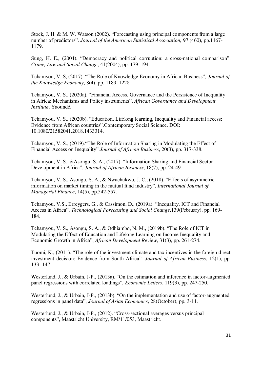Stock, J. H. & M. W. Watson (2002). "Forecasting using principal components from a large number of predictors". *Journal of the American Statistical Association,* 97 (460), pp.1167- 1179.

Sung, H. E., (2004). "Democracy and political corruption: a cross-national comparison". *Crime, Law and Social Change*, 41(2004), pp. 179–194.

Tchamyou, V. S, (2017). "The Role of Knowledge Economy in African Business", *Journal of the Knowledge Economy*, 8(4), pp. 1189–1228.

Tchamyou, V. S., (2020a). "Financial Access, Governance and the Persistence of Inequality in Africa: Mechanisms and Policy instruments", *African Governance and Development Institute*, Yaoundé.

Tchamyou, V. S., (2020b). "Education, Lifelong learning, Inequality and Financial access: Evidence from African countries".Contemporary Social Science. DOI: 10.1080/21582041.2018.1433314.

Tchamyou, V. S., (2019)."The Role of Information Sharing in Modulating the Effect of Financial Access on Inequality".*Journal of African Business*, 20(3), pp. 317-338.

Tchamyou, V. S., &Asongu, S. A., (2017). "Information Sharing and Financial Sector Development in Africa", *Journal of African Business*, 18(7), pp. 24-49.

Tchamyou, V. S., Asongu, S. A., & Nwachukwu, J. C., (2018). "Effects of asymmetric information on market timing in the mutual fund industry", *International Journal of Managerial Finance*, 14(5), pp.542-557.

Tchamyou, V.S., Erreygers, G., & Cassimon, D., (2019a). "Inequality, ICT and Financial Access in Africa", *Technological Forecasting and Social Change*,139(February), pp. 169- 184.

Tchamyou, V. S., Asongu, S. A., & Odhiambo, N. M., (2019b). "The Role of ICT in Modulating the Effect of Education and Lifelong Learning on Income Inequality and Economic Growth in Africa", *African Development Review*, 31(3), pp. 261-274.

Tuomi, K., (2011). "The role of the investment climate and tax incentives in the foreign direct investment decision: Evidence from South Africa". *Journal of African Business*, 12(1), pp. 133- 147.

Westerlund, J., & Urbain, J-P., (2013a). "On the estimation and inference in factor-augmented panel regressions with correlated loadings", *Economic Letters*, 119(3), pp. 247-250.

Westerlund, J., & Urbain, J-P., (2013b). "On the implementation and use of factor-augmented regressions in panel data", *Journal of Asian Economics*, 28(October), pp. 3-11.

Westerlund, J., & Urbain, J-P., (2012). "Cross-sectional averages versus principal components", Maastricht University, RM/11/053, Maastricht.